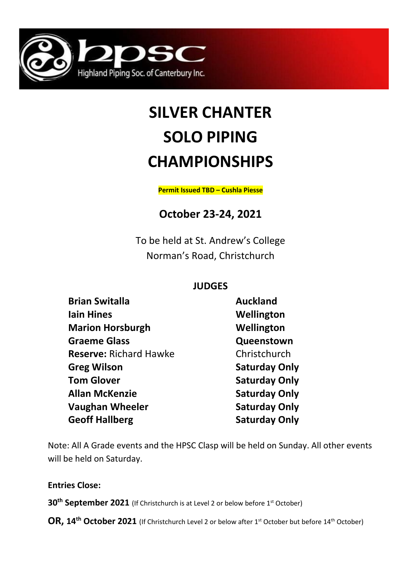

# **SILVER CHANTER SOLO PIPING CHAMPIONSHIPS**

**Permit Issued TBD – Cushla Piesse**

# **October 23-24, 2021**

To be held at St. Andrew's College Norman's Road, Christchurch

## **JUDGES**

**Brian Switalla Auckland Iain Hines Wellington Marion Horsburgh Wellington Graeme Glass Queenstown Reserve:** Richard Hawke **Christchurch Greg Wilson Saturday Only Tom Glover Saturday Only Allan McKenzie Saturday Only Vaughan Wheeler Saturday Only Geoff Hallberg <b>Saturday Only** 

Note: All A Grade events and the HPSC Clasp will be held on Sunday. All other events will be held on Saturday.

### **Entries Close:**

**30<sup>th</sup> September 2021** (If Christchurch is at Level 2 or below before 1<sup>st</sup> October)

**OR, 14<sup>th</sup> October 2021** (If Christchurch Level 2 or below after 1<sup>st</sup> October but before 14<sup>th</sup> October)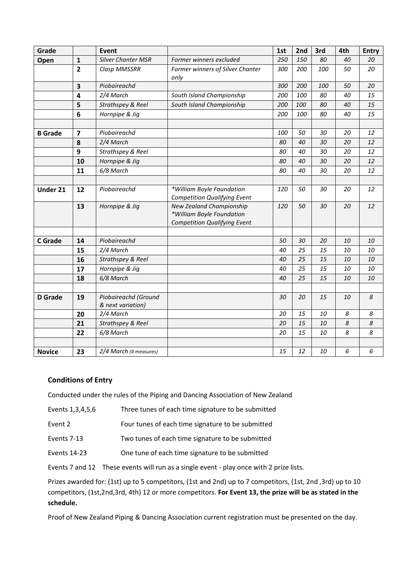| Grade          |                         | <b>Event</b>                 |                                     | 1st | 2nd | 3rd | 4th | <b>Entry</b> |
|----------------|-------------------------|------------------------------|-------------------------------------|-----|-----|-----|-----|--------------|
| Open           | $\mathbf{1}$            | <b>Silver Chanter MSR</b>    | Former winners excluded             | 250 | 150 | 80  | 40  | 20           |
|                | $\overline{2}$          | Clasp MMSSRR                 | Former winners of Silver Chanter    | 300 | 200 | 100 | 50  | 20           |
|                |                         |                              | only                                |     |     |     |     |              |
|                | $\overline{\mathbf{3}}$ | Piobaireachd                 |                                     | 300 | 200 | 100 | 50  | 20           |
|                | $\overline{\mathbf{4}}$ | 2/4 March                    | South Island Championship           | 200 | 100 | 80  | 40  | 15           |
|                | 5                       | <b>Strathspey &amp; Reel</b> | South Island Championship           | 200 | 100 | 80  | 40  | 15           |
|                | 6                       | Hornpipe & Jig               |                                     | 200 | 100 | 80  | 40  | 15           |
|                |                         |                              |                                     |     |     |     |     |              |
| <b>B</b> Grade | $\overline{\mathbf{z}}$ | Piobaireachd                 |                                     | 100 | 50  | 30  | 20  | 12           |
|                | 8                       | 2/4 March                    |                                     | 80  | 40  | 30  | 20  | 12           |
|                | 9                       | Strathspey & Reel            |                                     | 80  | 40  | 30  | 20  | 12           |
|                | 10                      | Hornpipe & Jig               |                                     | 80  | 40  | 30  | 20  | 12           |
|                | 11                      | 6/8 March                    |                                     | 80  | 40  | 30  | 20  | 12           |
|                |                         |                              |                                     |     |     |     |     |              |
| Under 21       | 12                      | Piobaireachd                 | *William Boyle Foundation           | 120 | 50  | 30  | 20  | 12           |
|                |                         |                              | <b>Competition Qualifying Event</b> |     |     |     |     |              |
|                | 13                      | Hornpipe & Jig               | New Zealand Championship            | 120 | 50  | 30  | 20  | 12           |
|                |                         |                              | *William Boyle Foundation           |     |     |     |     |              |
|                |                         |                              | <b>Competition Qualifying Event</b> |     |     |     |     |              |
| <b>C</b> Grade | 14                      | Piobaireachd                 |                                     | 50  | 30  | 20  | 10  | 10           |
|                | 15                      | 2/4 March                    |                                     | 40  | 25  | 15  | 10  | 10           |
|                | 16                      | <b>Strathspey &amp; Reel</b> |                                     | 40  | 25  | 15  | 10  | 10           |
|                | 17                      |                              |                                     | 40  | 25  | 15  | 10  | 10           |
|                | 18                      | Hornpipe & Jig<br>6/8 March  |                                     | 40  | 25  | 15  | 10  | 10           |
|                |                         |                              |                                     |     |     |     |     |              |
| <b>D</b> Grade | 19                      | Piobaireachd (Ground         |                                     | 30  | 20  | 15  | 10  | 8            |
|                |                         | & next variation)            |                                     |     |     |     |     |              |
|                | 20                      | 2/4 March                    |                                     | 20  | 15  | 10  | 8   | 8            |
|                | 21                      | <b>Strathspey &amp; Reel</b> |                                     | 20  | 15  | 10  | 8   | 8            |
|                | 22                      | 6/8 March                    |                                     | 20  | 15  | 10  | 8   | 8            |
|                |                         |                              |                                     |     |     |     |     |              |
| <b>Novice</b>  | 23                      | 2/4 March (4 measures)       |                                     | 15  | 12  | 10  | 6   | 6            |

#### **Conditions of Entry**

Conducted under the rules of the Piping and Dancing Association of New Zealand

- Events 1,3,4,5,6 Three tunes of each time signature to be submitted
- Event 2 Four tunes of each time signature to be submitted
- Events 7-13 Two tunes of each time signature to be submitted
- Events 14-23 One tune of each time signature to be submitted

Events 7 and 12 These events will run as a single event - play once with 2 prize lists.

Prizes awarded for: (1st) up to 5 competitors, (1st and 2nd) up to 7 competitors, (1st, 2nd ,3rd) up to 10 competitors, (1st,2nd,3rd, 4th) 12 or more competitors. **For Event 13, the prize will be as stated in the schedule.**

Proof of New Zealand Piping & Dancing Association current registration must be presented on the day.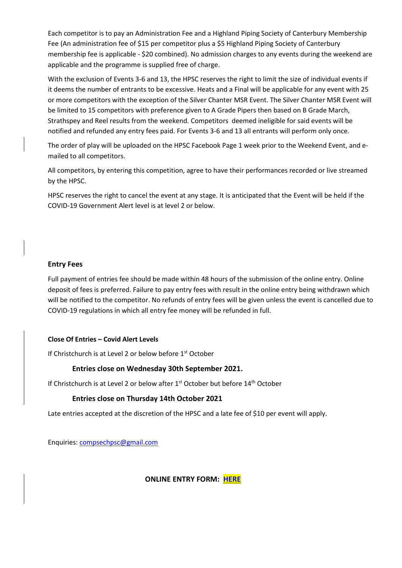Each competitor is to pay an Administration Fee and a Highland Piping Society of Canterbury Membership Fee (An administration fee of \$15 per competitor plus a \$5 Highland Piping Society of Canterbury membership fee is applicable - \$20 combined). No admission charges to any events during the weekend are applicable and the programme is supplied free of charge.

With the exclusion of Events 3-6 and 13, the HPSC reserves the right to limit the size of individual events if it deems the number of entrants to be excessive. Heats and a Final will be applicable for any event with 25 or more competitors with the exception of the Silver Chanter MSR Event. The Silver Chanter MSR Event will be limited to 15 competitors with preference given to A Grade Pipers then based on B Grade March, Strathspey and Reel results from the weekend. Competitors deemed ineligible for said events will be notified and refunded any entry fees paid. For Events 3-6 and 13 all entrants will perform only once.

The order of play will be uploaded on the HPSC Facebook Page 1 week prior to the Weekend Event, and emailed to all competitors.

All competitors, by entering this competition, agree to have their performances recorded or live streamed by the HPSC.

HPSC reserves the right to cancel the event at any stage. It is anticipated that the Event will be held if the COVID-19 Government Alert level is at level 2 or below.

#### **Entry Fees**

Full payment of entries fee should be made within 48 hours of the submission of the online entry. Online deposit of fees is preferred. Failure to pay entry fees with result in the online entry being withdrawn which will be notified to the competitor. No refunds of entry fees will be given unless the event is cancelled due to COVID-19 regulations in which all entry fee money will be refunded in full.

#### **Close Of Entries – Covid Alert Levels**

If Christchurch is at Level 2 or below before 1<sup>st</sup> October

#### **Entries close on Wednesday 30th September 2021.**

If Christchurch is at Level 2 or below after  $1^{\text{st}}$  October but before  $14^{\text{th}}$  October

#### **Entries close on Thursday 14th October 2021**

Late entries accepted at the discretion of the HPSC and a late fee of \$10 per event will apply.

Enquiries[: compsechpsc@gmail.com](mailto:compsechpsc@gmail.com)

#### **ONLINE ENTRY FORM: [HERE](https://docs.google.com/forms/d/e/1FAIpQLSdvuyzyCxfjbrcqhVmaCMxpyvEyihchR1_tv4pwZTqwUeEIiQ/viewform)**